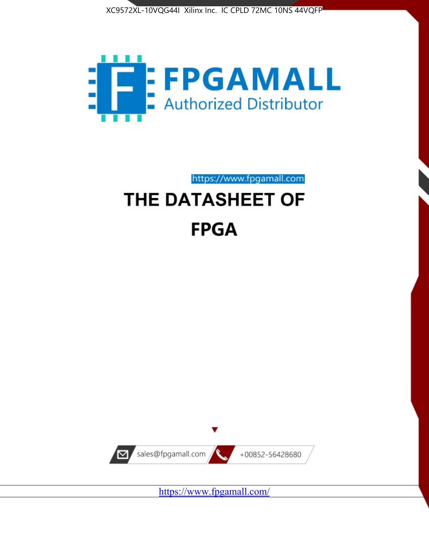



https://www.fpgamall.com

# THE DATASHEET OF **FPGA**



https://www.fpgamall.com/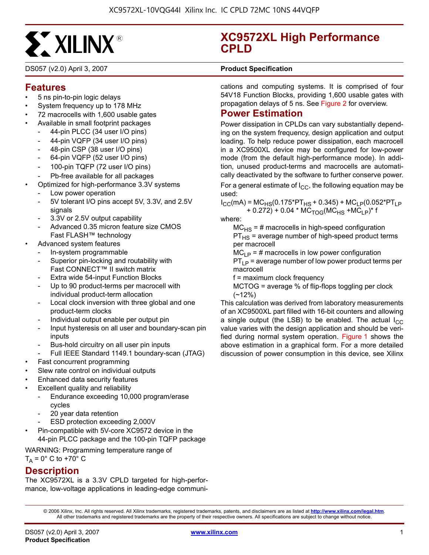

DS057 (v2.0) April 3, 2007 **0 0 Product Specification**

# **Features**

- 5 ns pin-to-pin logic delays
- System frequency up to 178 MHz
- 72 macrocells with 1,600 usable gates
- Available in small footprint packages
	- 44-pin PLCC (34 user I/O pins)
	- 44-pin VQFP (34 user I/O pins)
	- 48-pin CSP (38 user I/O pins)
	- 64-pin VQFP (52 user I/O pins)
	- 100-pin TQFP (72 user I/O pins)
	- Pb-free available for all packages
	- Optimized for high-performance 3.3V systems
	- Low power operation
	- 5V tolerant I/O pins accept 5V, 3.3V, and 2.5V signals
	- 3.3V or 2.5V output capability
	- Advanced 0.35 micron feature size CMOS Fast FLASH™ technology
- Advanced system features
	- In-system programmable
	- Superior pin-locking and routability with Fast CONNECT™ II switch matrix
	- Extra wide 54-input Function Blocks
	- Up to 90 product-terms per macrocell with individual product-term allocation
	- Local clock inversion with three global and one product-term clocks
	- Individual output enable per output pin
	- Input hysteresis on all user and boundary-scan pin inputs
	- Bus-hold circuitry on all user pin inputs
	- Full IEEE Standard 1149.1 boundary-scan (JTAG)
- Fast concurrent programming
- Slew rate control on individual outputs
- Enhanced data security features
- Excellent quality and reliability
	- Endurance exceeding 10,000 program/erase cycles
	- 20 year data retention
	- ESD protection exceeding 2,000V
- Pin-compatible with 5V-core XC9572 device in the 44-pin PLCC package and the 100-pin TQFP package
- WARNING: Programming temperature range of

 $T_A = 0^\circ$  C to +70° C

# **Description**

The XC9572XL is a 3.3V CPLD targeted for high-performance, low-voltage applications in leading-edge communi-

# **XC9572XL High Performance CPLD**

cations and computing systems. It is comprised of four 54V18 Function Blocks, providing 1,600 usable gates with propagation delays of 5 ns. See Figure 2 for overview.

# **Power Estimation**

Power dissipation in CPLDs can vary substantially depending on the system frequency, design application and output loading. To help reduce power dissipation, each macrocell in a XC9500XL device may be configured for low-power mode (from the default high-performance mode). In addition, unused product-terms and macrocells are automatically deactivated by the software to further conserve power.

For a general estimate of  $I_{CC}$ , the following equation may be used:

 $I_{CC}(mA) = MC_{HS}(0.175*PT_{HS} + 0.345) + MC_{LP}(0.052*PT_{LP}$ + 0.272) + 0.04 \*  $\overline{MC}_{TOG}$ ( $\overline{MC}_{HS}$  + $\overline{MC}_{LP}$ )\* f

where:

 $MC_{HS}$  = # macrocells in high-speed configuration  $PT_{HS}$  = average number of high-speed product terms per macrocell

 $MC<sub>LP</sub> = # macrocells in low power configuration$ 

 $PT_{LP}$  = average number of low power product terms per macrocell

f = maximum clock frequency

MCTOG = average % of flip-flops toggling per clock  $(-12%)$ 

This calculation was derived from laboratory measurements of an XC9500XL part filled with 16-bit counters and allowing a single output (the LSB) to be enabled. The actual  $I_{CC}$ value varies with the design application and should be verified during normal system operation. Figure 1 shows the above estimation in a graphical form. For a more detailed discussion of power consumption in this device, see Xilinx

© 2006 Xilinx, Inc. All rights reserved. All Xilinx trademarks, registered trademarks, patents, and disclaimers are as listed at **<http://www.xilinx.com/legal.htm>**. All other trademarks and registered trademarks are the property of their respective owners. All specifications are subject to change without notice.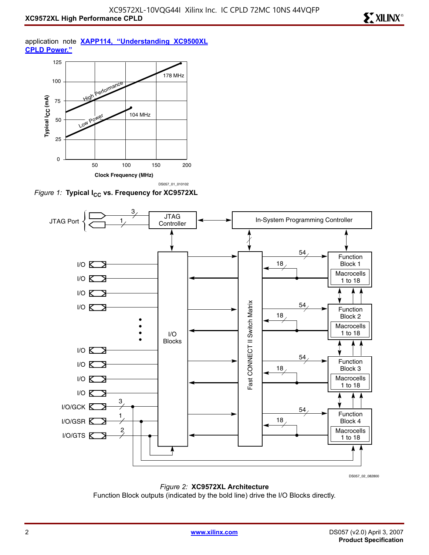**EXILINX®** 

application note **[XAPP114, "Understanding XC9500XL](http://direct.xilinx.com/bvdocs/appnotes/xapp114.pdf) [CPLD Power."](http://direct.xilinx.com/bvdocs/appnotes/xapp114.pdf)**



*Figure 1:* Typical I<sub>CC</sub> vs. Frequency for XC9572XL



DS057\_02\_082800

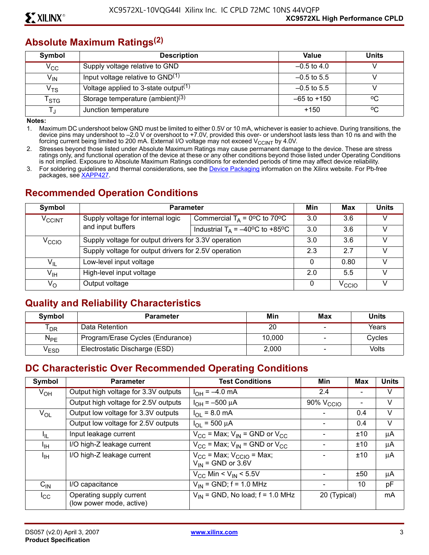# **Absolute Maximum Ratings(2)**

| Symbol                     | <b>Description</b>                               | Value           | <b>Units</b> |
|----------------------------|--------------------------------------------------|-----------------|--------------|
| $V_{CC}$                   | Supply voltage relative to GND                   | $-0.5$ to 4.0   |              |
| $V_{IN}$                   | Input voltage relative to GND <sup>(1)</sup>     | $-0.5$ to 5.5   |              |
| $\mathsf{v}_{\mathsf{TS}}$ | Voltage applied to 3-state output <sup>(1)</sup> | $-0.5$ to 5.5   |              |
| $\mathsf{T}_{\text{STG}}$  | Storage temperature (ambient) <sup>(3)</sup>     | $-65$ to $+150$ | °Ω           |
|                            | Junction temperature                             | $+150$          | °C           |

**Notes:** 

1. Maximum DC undershoot below GND must be limited to either 0.5V or 10 mA, whichever is easier to achieve. During transitions, the device pins may undershoot to –2.0 V or overshoot to +7.0V, provided this over- or undershoot lasts less than 10 ns and with the forcing current being limited to 200 mA. External I/O voltage may not exceed V $_{\rm CCINT}$  by 4.0V.

2. Stresses beyond those listed under Absolute Maximum Ratings may cause permanent damage to the device. These are stress ratings only, and functional operation of the device at these or any other conditions beyond those listed under Operating Conditions is not implied. Exposure to Absolute Maximum Ratings conditions for extended periods of time may affect device reliability.

3. For soldering guidelines and thermal considerations, see the [Device Packaging](http://www.xilinx.com/xlnx/xweb/xil_publications_index.jsp?category=Package+Drawings) information on the Xilinx website. For Pb-free packages, see [XAPP427](http://direct.xilinx.com/bvdocs/appnotes/xapp427.pdf).

# **Recommended Operation Conditions**

| Symbol                     | <b>Parameter</b>                                     |                                                          | Min               | Max  | <b>Units</b> |
|----------------------------|------------------------------------------------------|----------------------------------------------------------|-------------------|------|--------------|
| <b>V<sub>CCINT</sub></b>   | Supply voltage for internal logic                    | Commercial $T_A = 0$ <sup>o</sup> C to 70 <sup>o</sup> C | 3.0               | 3.6  |              |
|                            | and input buffers                                    | Industrial $T_A = -40^{\circ}C$ to +85°C                 | 3.0               | 3.6  |              |
| $V_{\rm CCIO}$             |                                                      | Supply voltage for output drivers for 3.3V operation     |                   |      |              |
|                            | Supply voltage for output drivers for 2.5V operation |                                                          | 2.3               | 27   |              |
| $\mathsf{V}_{\mathsf{IL}}$ | Low-level input voltage                              |                                                          | 0                 | 0.80 |              |
| $\mathsf{V}_{\mathsf{IH}}$ | High-level input voltage                             |                                                          | 2.0               | 5.5  |              |
| $V_{\rm O}$                | Output voltage                                       | 0                                                        | V <sub>CCIO</sub> |      |              |

# **Quality and Reliability Characteristics**

| <b>Symbol</b> | <b>Parameter</b>                 | Min    | Max | <b>Units</b> |
|---------------|----------------------------------|--------|-----|--------------|
| <b>DR</b>     | Data Retention                   | 20     |     | Years        |
| $N_{PE}$      | Program/Erase Cycles (Endurance) | 10.000 |     | Cycles       |
| ′ESD          | Electrostatic Discharge (ESD)    | 2,000  |     | Volts        |

# **DC Characteristic Over Recommended Operating Conditions**

| Symbol            | <b>Parameter</b>                                     | <b>Test Conditions</b>                                      | Min                   | <b>Max</b> | <b>Units</b> |
|-------------------|------------------------------------------------------|-------------------------------------------------------------|-----------------------|------------|--------------|
| $V_{OH}$          | Output high voltage for 3.3V outputs                 | $I_{OH} = -4.0$ mA                                          | 2.4                   |            | V            |
|                   | Output high voltage for 2.5V outputs                 | $I_{OH} = -500 \mu A$                                       | 90% V <sub>CCIO</sub> |            | $\vee$       |
| $V_{OL}$          | Output low voltage for 3.3V outputs                  | $I_{OL}$ = 8.0 mA                                           |                       | 0.4        | $\vee$       |
|                   | Output low voltage for 2.5V outputs                  | $I_{OL}$ = 500 $\mu$ A                                      |                       | 0.4        | $\vee$       |
| I <sub>IL</sub>   | Input leakage current                                | $V_{CC}$ = Max; $V_{IN}$ = GND or $V_{CC}$                  |                       | ±10        | μA           |
| <sup>I</sup> IH   | I/O high-Z leakage current                           | $V_{CC}$ = Max; $V_{IN}$ = GND or $V_{CC}$                  |                       | ±10        | μA           |
| <sup>I</sup> IH   | I/O high-Z leakage current                           | $V_{CC}$ = Max; $V_{CCIO}$ = Max;<br>$V_{IN}$ = GND or 3.6V |                       | ±10        | μA           |
|                   |                                                      | $V_{CC}$ Min < $V_{IN}$ < 5.5V                              |                       | ±50        | μA           |
| $C_{\mathsf{IN}}$ | I/O capacitance                                      | $V_{IN}$ = GND; f = 1.0 MHz                                 |                       | 10         | pF           |
| $I_{\rm CC}$      | Operating supply current<br>(low power mode, active) | $V_{IN}$ = GND, No load; f = 1.0 MHz                        | 20 (Typical)          |            | mA           |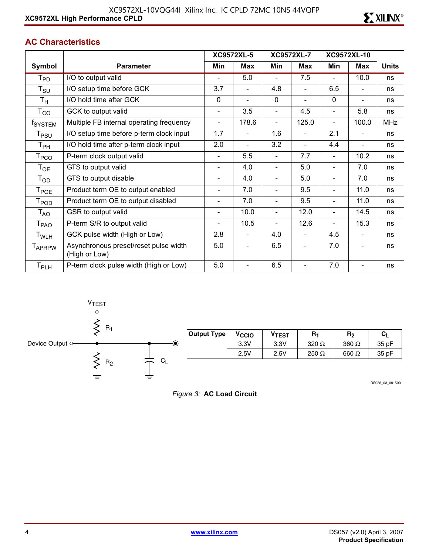### **AC Characteristics**

|                             |                                                        |                          | <b>XC9572XL-5</b>        |                          | <b>XC9572XL-7</b>        | XC9572XL-10              |                          |              |
|-----------------------------|--------------------------------------------------------|--------------------------|--------------------------|--------------------------|--------------------------|--------------------------|--------------------------|--------------|
| Symbol                      | <b>Parameter</b>                                       | Min                      | <b>Max</b>               | Min                      | <b>Max</b>               | Min                      | <b>Max</b>               | <b>Units</b> |
| $\mathsf{T}_{\mathsf{PD}}$  | I/O to output valid                                    |                          | 5.0                      |                          | 7.5                      |                          | 10.0                     | ns           |
| $\mathsf{T}_{\mathsf{SU}}$  | I/O setup time before GCK                              | 3.7                      |                          | 4.8                      | $\blacksquare$           | 6.5                      |                          | ns           |
| $T_{\rm H}$                 | I/O hold time after GCK                                | 0                        | $\blacksquare$           | $\mathbf 0$              | $\overline{\phantom{0}}$ | $\mathbf 0$              | $\blacksquare$           | ns           |
| $\mathsf{T}_{\mathsf{CO}}$  | GCK to output valid                                    | $\blacksquare$           | 3.5                      | $\blacksquare$           | 4.5                      | $\blacksquare$           | 5.8                      | ns           |
| f <sub>SYSTEM</sub>         | Multiple FB internal operating frequency               | $\overline{\phantom{a}}$ | 178.6                    | $\overline{\phantom{a}}$ | 125.0                    | $\overline{\phantom{a}}$ | 100.0                    | <b>MHz</b>   |
| T <sub>PSU</sub>            | I/O setup time before p-term clock input               | 1.7                      |                          | 1.6                      | $\overline{\phantom{0}}$ | 2.1                      | $\overline{\phantom{a}}$ | ns           |
| Т <sub>РН</sub>             | I/O hold time after p-term clock input                 | 2.0                      | $\blacksquare$           | 3.2                      | $\overline{\phantom{0}}$ | 4.4                      | $\blacksquare$           | ns           |
| T <sub>PCO</sub>            | P-term clock output valid                              | $\overline{\phantom{a}}$ | 5.5                      |                          | 7.7                      |                          | 10.2                     | ns           |
| $\mathsf{T}_{\mathsf{OE}}$  | GTS to output valid                                    | $\blacksquare$           | 4.0                      | $\blacksquare$           | 5.0                      | $\blacksquare$           | 7.0                      | ns           |
| $\mathsf{T}_{\mathsf{OD}}$  | GTS to output disable                                  | $\overline{\phantom{a}}$ | 4.0                      | $\blacksquare$           | 5.0                      | Ξ.                       | 7.0                      | ns           |
| $\mathsf{T}_{\mathsf{POE}}$ | Product term OE to output enabled                      | $\blacksquare$           | 7.0                      | $\blacksquare$           | 9.5                      |                          | 11.0                     | ns           |
| $T_{\mathsf{POD}}$          | Product term OE to output disabled                     | $\blacksquare$           | 7.0                      | $\blacksquare$           | 9.5                      |                          | 11.0                     | ns           |
| $\mathsf{T}_{\mathsf{AO}}$  | GSR to output valid                                    | $\overline{\phantom{0}}$ | 10.0                     | $\blacksquare$           | 12.0                     | $\overline{\phantom{0}}$ | 14.5                     | ns           |
| $\mathsf{T}_{\mathsf{PAO}}$ | P-term S/R to output valid                             | $\blacksquare$           | 10.5                     | $\blacksquare$           | 12.6                     |                          | 15.3                     | ns           |
| T <sub>WLH</sub>            | GCK pulse width (High or Low)                          | 2.8                      | $\blacksquare$           | 4.0                      | $\overline{\phantom{a}}$ | 4.5                      | $\blacksquare$           | ns           |
| T <sub>APRPW</sub>          | Asynchronous preset/reset pulse width<br>(High or Low) | 5.0                      | $\overline{\phantom{0}}$ | 6.5                      | $\overline{\phantom{a}}$ | 7.0                      | $\blacksquare$           | ns           |
| $\mathsf{T}_{\mathsf{PLH}}$ | P-term clock pulse width (High or Low)                 | 5.0                      |                          | 6.5                      |                          | 7.0                      |                          | ns           |



| Output Type | V <sub>CCIO</sub> | $V$ TEST | R <sub>1</sub> | R <sub>2</sub> | Cı    |
|-------------|-------------------|----------|----------------|----------------|-------|
|             | 3.3V              | 3.3V     | 320 $\Omega$   | $360 \Omega$   | 35 pF |
|             | 2.5V              | 2.5V     | 250 $\Omega$   | 660 $\Omega$   | 35 pF |

DS058\_03\_081500

*Figure 3:* **AC Load Circuit**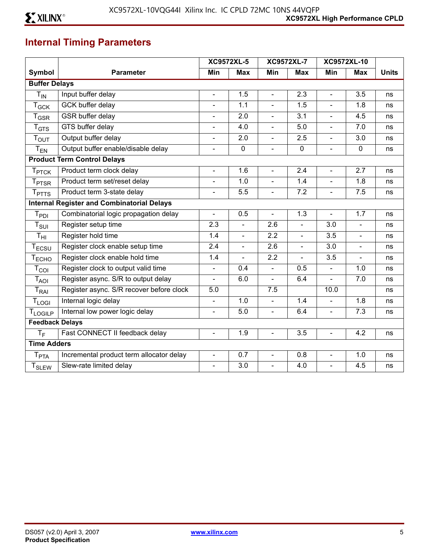# **Internal Timing Parameters**

|                             |                                                   |                          | <b>XC9572XL-5</b> |                          | <b>XC9572XL-7</b> |                | XC9572XL-10    |              |
|-----------------------------|---------------------------------------------------|--------------------------|-------------------|--------------------------|-------------------|----------------|----------------|--------------|
| Symbol                      | <b>Parameter</b>                                  | Min                      | <b>Max</b>        | Min                      | <b>Max</b>        | Min            | <b>Max</b>     | <b>Units</b> |
| <b>Buffer Delays</b>        |                                                   |                          |                   |                          |                   |                |                |              |
| $T_{IN}$                    | Input buffer delay                                | $\blacksquare$           | 1.5               | $\overline{\phantom{a}}$ | 2.3               | $\blacksquare$ | 3.5            | ns           |
| $T_{GCK}$                   | GCK buffer delay                                  | $\blacksquare$           | 1.1               | $\blacksquare$           | 1.5               | $\overline{a}$ | 1.8            | ns           |
| $\mathsf{T}_{\mathsf{GSR}}$ | GSR buffer delay                                  | $\overline{a}$           | 2.0               | $\blacksquare$           | 3.1               | $\blacksquare$ | 4.5            | ns           |
| $T_{GTS}$                   | GTS buffer delay                                  | $\blacksquare$           | 4.0               | $\blacksquare$           | 5.0               | $\blacksquare$ | 7.0            | ns           |
| T <sub>OUT</sub>            | Output buffer delay                               | $\overline{\phantom{a}}$ | 2.0               | $\blacksquare$           | 2.5               | $\blacksquare$ | 3.0            | ns           |
| $T_{EN}$                    | Output buffer enable/disable delay                | $\overline{a}$           | $\mathbf 0$       | $\blacksquare$           | $\mathbf 0$       | $\blacksquare$ | $\mathbf 0$    | ns           |
|                             | <b>Product Term Control Delays</b>                |                          |                   |                          |                   |                |                |              |
| T <sub>PTCK</sub>           | Product term clock delay                          | $\blacksquare$           | 1.6               | $\blacksquare$           | 2.4               | $\blacksquare$ | 2.7            | ns           |
| $T_{\rm{PTSR}}$             | Product term set/reset delay                      | $\blacksquare$           | 1.0               | $\blacksquare$           | 1.4               | $\blacksquare$ | 1.8            | ns           |
| <b>T</b> <sub>PTTS</sub>    | Product term 3-state delay                        | $\blacksquare$           | 5.5               | $\blacksquare$           | 7.2               | $\blacksquare$ | 7.5            | ns           |
|                             | <b>Internal Register and Combinatorial Delays</b> |                          |                   |                          |                   |                |                |              |
| $T_{PDI}$                   | Combinatorial logic propagation delay             | $\blacksquare$           | 0.5               | $\blacksquare$           | 1.3               | $\blacksquare$ | 1.7            | ns           |
| $T_{\text{SUI}}$            | Register setup time                               | 2.3                      | $\overline{a}$    | 2.6                      | $\overline{a}$    | 3.0            |                | ns           |
| $T_{\rm HI}$                | Register hold time                                | 1.4                      | $\blacksquare$    | 2.2                      | $\blacksquare$    | 3.5            | $\blacksquare$ | ns           |
| $T_{ECSU}$                  | Register clock enable setup time                  | 2.4                      | $\blacksquare$    | 2.6                      | $\blacksquare$    | 3.0            | $\blacksquare$ | ns           |
| T <sub>ECHO</sub>           | Register clock enable hold time                   | 1.4                      | L.                | 2.2                      | $\overline{a}$    | 3.5            | $\blacksquare$ | ns           |
| $T_{COI}$                   | Register clock to output valid time               | $\Box$                   | 0.4               | $\overline{a}$           | 0.5               | $\blacksquare$ | 1.0            | ns           |
| $T_{AOI}$                   | Register async. S/R to output delay               | $\blacksquare$           | 6.0               | $\blacksquare$           | 6.4               |                | 7.0            | ns           |
| $\mathsf{T}_{\mathsf{RAI}}$ | Register async. S/R recover before clock          | 5.0                      |                   | 7.5                      |                   | 10.0           |                | ns           |
| $T_{LOGI}$                  | Internal logic delay                              | $\blacksquare$           | 1.0               | $\overline{a}$           | 1.4               |                | 1.8            | ns           |
| <b>TLOGILP</b>              | Internal low power logic delay                    | $\blacksquare$           | 5.0               | $\blacksquare$           | 6.4               | $\blacksquare$ | 7.3            | ns           |
| <b>Feedback Delays</b>      |                                                   |                          |                   |                          |                   |                |                |              |
| $T_F$                       | Fast CONNECT II feedback delay                    | $\blacksquare$           | 1.9               | $\blacksquare$           | 3.5               | $\blacksquare$ | 4.2            | ns           |
| <b>Time Adders</b>          |                                                   |                          |                   |                          |                   |                |                |              |
| $T_{\sf PTA}$               | Incremental product term allocator delay          | $\blacksquare$           | 0.7               | $\blacksquare$           | 0.8               | $\blacksquare$ | 1.0            | ns           |
| <b>T</b> <sub>SLEW</sub>    | Slew-rate limited delay                           | ä,                       | 3.0               | $\blacksquare$           | 4.0               | $\blacksquare$ | 4.5            | ns           |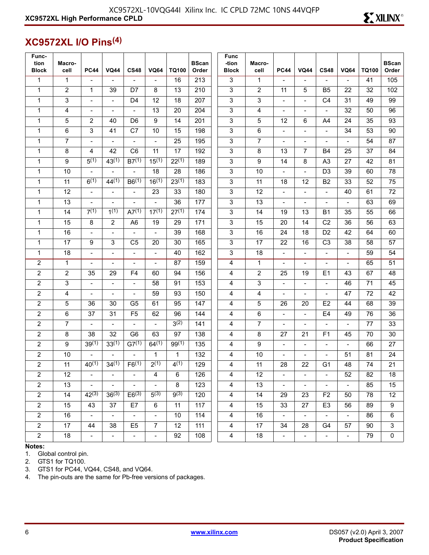# **XC9572XL I/O Pins(4)**

| Func-<br>tion<br><b>Block</b> | Macro-<br>cell  | <b>PC44</b>              | <b>VQ44</b>              | <b>CS48</b>              | <b>VQ64</b>              | TQ100            | <b>BScan</b><br>Order | <b>Func</b><br>-tion<br><b>Block</b> | Macro-<br>cell | <b>PC44</b>                 | <b>VQ44</b>              | <b>CS48</b>              | <b>VQ64</b>                 | <b>TQ100</b> | <b>BScan</b><br>Order     |
|-------------------------------|-----------------|--------------------------|--------------------------|--------------------------|--------------------------|------------------|-----------------------|--------------------------------------|----------------|-----------------------------|--------------------------|--------------------------|-----------------------------|--------------|---------------------------|
| $\mathbf{1}$                  | $\mathbf{1}$    | $\blacksquare$           | $\blacksquare$           | $\blacksquare$           | $\overline{a}$           | 16               | 213                   | $\overline{3}$                       | $\mathbf{1}$   | $\blacksquare$              | $\blacksquare$           | $\blacksquare$           | $\blacksquare$              | 41           | 105                       |
| $\mathbf{1}$                  | 2               | $\mathbf{1}$             | 39                       | D7                       | 8                        | 13               | 210                   | $\mathfrak{S}$                       | $\overline{2}$ | 11                          | 5                        | B <sub>5</sub>           | 22                          | 32           | 102                       |
| $\mathbf{1}$                  | 3               | $\blacksquare$           | $\blacksquare$           | D <sub>4</sub>           | 12                       | 18               | 207                   | $\sqrt{3}$                           | 3              | $\blacksquare$              | $\blacksquare$           | C <sub>4</sub>           | 31                          | 49           | 99                        |
| $\mathbf{1}$                  | 4               | $\overline{\phantom{a}}$ | $\overline{\phantom{a}}$ | $\overline{\phantom{a}}$ | 13                       | 20               | 204                   | 3                                    | 4              | $\qquad \qquad -$           | $\overline{\phantom{a}}$ | $\overline{\phantom{a}}$ | 32                          | 50           | 96                        |
| $\mathbf{1}$                  | 5               | $\overline{2}$           | 40                       | D <sub>6</sub>           | 9                        | 14               | 201                   | $\sqrt{3}$                           | 5              | 12                          | 6                        | A <sub>4</sub>           | 24                          | 35           | 93                        |
| $\mathbf{1}$                  | 6               | 3                        | 41                       | C7                       | 10                       | 15               | 198                   | $\sqrt{3}$                           | 6              | $\blacksquare$              | $\overline{a}$           | $\blacksquare$           | 34                          | 53           | 90                        |
| $\mathbf{1}$                  | $\overline{7}$  | $\qquad \qquad -$        | $\overline{\phantom{a}}$ | $\overline{\phantom{a}}$ | $\overline{\phantom{a}}$ | 25               | 195                   | $\sqrt{3}$                           | $\overline{7}$ | $\qquad \qquad -$           | $\overline{\phantom{a}}$ | $\overline{\phantom{a}}$ | ÷                           | 54           | 87                        |
| $\mathbf{1}$                  | 8               | 4                        | 42                       | C <sub>6</sub>           | 11                       | 17               | 192                   | $\mathfrak{S}$                       | 8              | 13                          | $\overline{7}$           | <b>B4</b>                | 25                          | 37           | 84                        |
| $\mathbf{1}$                  | 9               | $5^{(1)}$                | $43^{(1)}$               | $B7^{(1)}$               | $15^{(1)}$               | $22^{(1)}$       | 189                   | $\sqrt{3}$                           | 9              | 14                          | 8                        | A <sub>3</sub>           | 27                          | 42           | 81                        |
| $\mathbf{1}$                  | 10              | $\blacksquare$           | $\blacksquare$           | $\blacksquare$           | 18                       | 28               | 186                   | $\sqrt{3}$                           | 10             | $\overline{\phantom{a}}$    | $\blacksquare$           | D <sub>3</sub>           | 39                          | 60           | 78                        |
| $\mathbf{1}$                  | 11              | 6(1)                     | 44(1)                    | B6(1)                    | $16^{(1)}$               | $23^{(1)}$       | 183                   | $\sqrt{3}$                           | 11             | 18                          | 12                       | <b>B2</b>                | 33                          | 52           | 75                        |
| 1                             | 12              | $\frac{1}{2}$            | $\blacksquare$           | $\overline{\phantom{a}}$ | 23                       | 33               | 180                   | $\mathsf 3$                          | 12             | $\frac{1}{2}$               | $\overline{\phantom{a}}$ | $\overline{\phantom{a}}$ | 40                          | 61           | 72                        |
| $\mathbf{1}$                  | 13              | $\overline{a}$           |                          |                          | $\blacksquare$           | 36               | 177                   | $\sqrt{3}$                           | 13             | $\blacksquare$              | $\overline{a}$           | $\overline{a}$           | L,                          | 63           | 69                        |
| $\mathbf{1}$                  | 14              | 7(1)                     | 1(1)                     | A7 <sup>(1)</sup>        | $17^{(1)}$               | $27^{(1)}$       | 174                   | $\mathfrak{S}$                       | 14             | 19                          | 13                       | <b>B1</b>                | 35                          | 55           | 66                        |
| $\mathbf{1}$                  | 15              | 8                        | $\overline{2}$           | A <sub>6</sub>           | 19                       | 29               | 171                   | $\sqrt{3}$                           | 15             | 20                          | 14                       | C <sub>2</sub>           | 36                          | 56           | 63                        |
| $\mathbf{1}$                  | 16              | $\qquad \qquad -$        | $\overline{\phantom{a}}$ | $\overline{\phantom{a}}$ | $\overline{\phantom{a}}$ | 39               | 168                   | 3                                    | 16             | 24                          | 18                       | D <sub>2</sub>           | 42                          | 64           | 60                        |
| $\mathbf{1}$                  | 17              | 9                        | 3                        | C <sub>5</sub>           | 20                       | 30               | 165                   | $\sqrt{3}$                           | 17             | 22                          | 16                       | C <sub>3</sub>           | 38                          | 58           | 57                        |
| $\mathbf{1}$                  | 18              | $\overline{a}$           | $\overline{a}$           | $\overline{\phantom{a}}$ | $\overline{a}$           | 40               | 162                   | $\sqrt{3}$                           | 18             | $\blacksquare$              | $\overline{a}$           | $\blacksquare$           | L,                          | 59           | 54                        |
| $\mathbf 2$                   | $\mathbf{1}$    | $\frac{1}{2}$            | $\overline{\phantom{a}}$ | $\overline{\phantom{a}}$ | $\blacksquare$           | 87               | 159                   | $\overline{\mathbf{4}}$              | 1              | $\frac{1}{2}$               | $\overline{\phantom{a}}$ | $\overline{\phantom{a}}$ | $\blacksquare$              | 65           | 51                        |
| $\overline{2}$                | $\overline{2}$  | 35                       | 29                       | F <sub>4</sub>           | 60                       | 94               | 156                   | $\overline{4}$                       | $\overline{2}$ | 25                          | 19                       | E1                       | 43                          | 67           | 48                        |
| $\mathbf 2$                   | 3               | $\blacksquare$           | $\blacksquare$           | $\overline{a}$           | 58                       | 91               | 153                   | 4                                    | 3              | $\overline{a}$              | $\blacksquare$           | $\overline{\phantom{a}}$ | 46                          | 71           | 45                        |
| $\overline{2}$                | 4               | $\frac{1}{2}$            | $\overline{\phantom{a}}$ | $\overline{\phantom{m}}$ | 59                       | 93               | 150                   | 4                                    | 4              | $\frac{1}{2}$               | $\overline{\phantom{a}}$ | $\overline{\phantom{a}}$ | 47                          | 72           | 42                        |
| $\overline{2}$                | 5               | 36                       | 30                       | G <sub>5</sub>           | 61                       | 95               | 147                   | 4                                    | 5              | 26                          | 20                       | E2                       | 44                          | 68           | 39                        |
| $\overline{2}$                | 6               | 37                       | 31                       | F <sub>5</sub>           | 62                       | 96               | 144                   | 4                                    | 6              | $\overline{\phantom{a}}$    | $\overline{\phantom{a}}$ | E <sub>4</sub>           | 49                          | 76           | 36                        |
| $\overline{c}$                | $\overline{7}$  | $\overline{\phantom{0}}$ | $\blacksquare$           | $\overline{\phantom{a}}$ | $\blacksquare$           | $3^{(2)}$        | 141                   | 4                                    | $\overline{7}$ | $\overline{\phantom{a}}$    | $\overline{\phantom{a}}$ | $\blacksquare$           | $\overline{a}$              | 77           | 33                        |
| $\overline{2}$                | 8               | 38                       | 32                       | G <sub>6</sub>           | 63                       | 97               | 138                   | 4                                    | 8              | 27                          | 21                       | F1                       | 45                          | 70           | 30                        |
| $\overline{2}$                | 9               | $39^{(1)}$               | $33^{(1)}$               | $\overline{G7^{(1)}}$    | $64^{(1)}$               | $99^{(1)}$       | 135                   | 4                                    | 9              | $\blacksquare$              | $\overline{a}$           | $\blacksquare$           | L,                          | 66           | 27                        |
| $\overline{\mathbf{c}}$       | 10              | $\blacksquare$           | $\blacksquare$           | $\blacksquare$           | $\mathbf{1}$             | $\mathbf 1$      | 132                   | 4                                    | 10             | $\overline{\phantom{a}}$    | $\blacksquare$           | $\overline{\phantom{a}}$ | 51                          | 81           | 24                        |
| $\overline{2}$                | 11              | $40^{(1)}$               | $34^{(1)}$               | $F6^{(1)}$               | $2^{(1)}$                | 4(1)             | 129                   | 4                                    | 11             | 28                          | 22                       | G1                       | 48                          | 74           | $\overline{21}$           |
| $\overline{2}$                | 12              |                          |                          |                          | 4                        | 6                | 126                   | 4                                    | 12             |                             | $\overline{\phantom{a}}$ |                          | 52                          | 82           | 18                        |
| $\overline{2}$                | 13 <sup>2</sup> | $\sim$ .                 | $\sim$                   | $\blacksquare$           | $\blacksquare$           | 8                | 123                   | $\overline{4}$                       | 13             | $\blacksquare$              | $\blacksquare$           | $\blacksquare$           | $\mathcal{L}_{\mathcal{A}}$ | 85           | 15                        |
| $\overline{2}$                | 14              | $42^{(3)}$               | $36^{(3)}$               | $E6^{(3)}$               | $5^{(3)}$                | 9 <sup>(3)</sup> | 120                   | $\overline{4}$                       | 14             | 29                          | 23                       | F <sub>2</sub>           | 50                          | 78           | 12                        |
| $\overline{2}$                | 15              | 43                       | 37                       | E7                       | 6                        | 11               | 117                   | $\overline{4}$                       | 15             | 33                          | 27                       | E <sub>3</sub>           | 56                          | 89           | $\boldsymbol{9}$          |
| $2^{\circ}$                   | 16              | $\omega_{\rm c}$         | $\sim$                   | $\sim$                   | $\omega_{\rm c}$         | 10               | 114                   | $\overline{4}$                       | 16             | $\omega$                    | $\sim$                   | $\omega_{\rm c}$         | $\omega_{\rm c}$            | 86           | $6\phantom{1}6$           |
| $2^{\circ}$                   | 17              | 44                       | 38                       | E <sub>5</sub>           | $\overline{7}$           | 12               | 111                   | $\overline{4}$                       | 17             | 34                          | 28                       | G4                       | 57                          | 90           | $\ensuremath{\mathsf{3}}$ |
| $\overline{2}$                | 18              | $\blacksquare$           | $\mathbb{L}^+$           | $\omega_{\rm c}$         | $\omega_{\rm c}$         | 92               | 108                   | $\overline{4}$                       | $18$           | $\mathcal{L}_{\mathcal{A}}$ | $\omega_{\rm c}$         | $\equiv$                 | $\omega_{\rm c}$            | 79           | $\pmb{0}$                 |

**Notes:** 

1. Global control pin.

2. GTS1 for TQ100.

3. GTS1 for PC44, VQ44, CS48, and VQ64.

4. The pin-outs are the same for Pb-free versions of packages.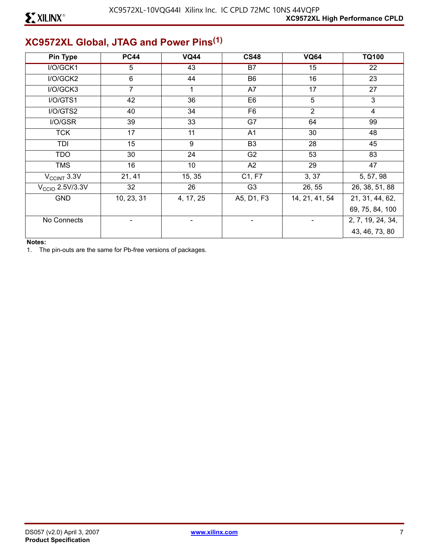# **XC9572XL Global, JTAG and Power Pins(1)**

| <b>Pin Type</b>   | <b>PC44</b>    | <b>VQ44</b> | <b>CS48</b>     | <b>VQ64</b>     | <b>TQ100</b>      |
|-------------------|----------------|-------------|-----------------|-----------------|-------------------|
| I/O/GCK1          | 5              | 43          | $\overline{B7}$ | $\overline{15}$ | 22                |
| I/O/GCK2          | 6              | 44          | B <sub>6</sub>  | 16              | 23                |
| I/O/GCK3          | $\overline{7}$ |             | A7              | 17              | 27                |
| I/O/GTS1          | 42             | 36          | E <sub>6</sub>  | $5\phantom{.0}$ | 3                 |
| I/O/GTS2          | 40             | 34          | F <sub>6</sub>  | $\overline{2}$  | $\overline{4}$    |
| I/O/GSR           | 39             | 33          | G7              | 64              | 99                |
| <b>TCK</b>        | 17             | 11          | A1              | 30              | 48                |
| TDI               | 15             | 9           | B <sub>3</sub>  | 28              | 45                |
| <b>TDO</b>        | 30             | 24          | G <sub>2</sub>  | 53              | 83                |
| <b>TMS</b>        | 16             | 10          | A2              | 29              | 47                |
| $V_{CClNT}$ 3.3V  | 21, 41         | 15, 35      | C1, F7          | 3, 37           | 5, 57, 98         |
| $VCCIO$ 2.5V/3.3V | 32             | 26          | G <sub>3</sub>  | 26, 55          | 26, 38, 51, 88    |
| <b>GND</b>        | 10, 23, 31     | 4, 17, 25   | A5, D1, F3      | 14, 21, 41, 54  | 21, 31, 44, 62,   |
|                   |                |             |                 |                 | 69, 75, 84, 100   |
| No Connects       |                |             |                 |                 | 2, 7, 19, 24, 34, |
|                   |                |             |                 |                 | 43, 46, 73, 80    |

### **Notes:**

1. The pin-outs are the same for Pb-free versions of packages.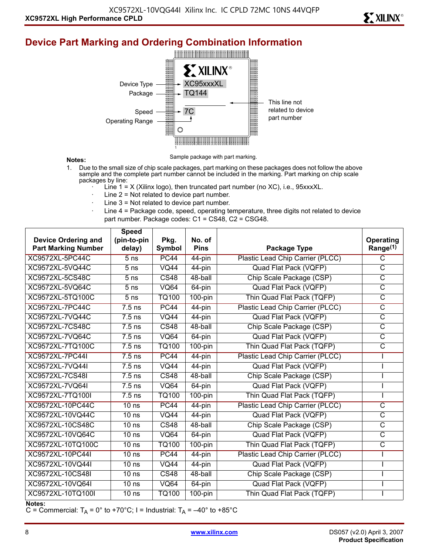# **XXILINX®**

# **Device Part Marking and Ordering Combination Information**



### **Notes:**

Sample package with part marking.

- 1. Due to the small size of chip scale packages, part marking on these packages does not follow the above sample and the complete part number cannot be included in the marking. Part marking on chip scale packages by line:
	- Line  $1 = X$  (Xilinx logo), then truncated part number (no XC), i.e., 95xxxXL.
	- Line  $2$  = Not related to device part number.
	- Line  $3$  = Not related to device part number.
	- Line 4 = Package code, speed, operating temperature, three digits not related to device part number. Package codes: C1 = CS48, C2 = CSG48.

|                            | <b>Speed</b>      |                   |                       |                                  |                         |
|----------------------------|-------------------|-------------------|-----------------------|----------------------------------|-------------------------|
| <b>Device Ordering and</b> | (pin-to-pin       | Pkg.              | No. of<br><b>Pins</b> |                                  | Operating               |
| <b>Part Marking Number</b> | delay)            | Symbol            |                       | Package Type                     | Range <sup>(1)</sup>    |
| <b>XC9572XL-5PC44C</b>     | 5 <sub>ns</sub>   | <b>PC44</b>       | 44-pin                | Plastic Lead Chip Carrier (PLCC) | C                       |
| XC9572XL-5VQ44C            | 5 <sub>ns</sub>   | $\overline{VQ44}$ | 44-pin                | <b>Quad Flat Pack (VQFP)</b>     | $\overline{\text{c}}$   |
| XC9572XL-5CS48C            | $\overline{5}$ ns | CS48              | 48-ball               | Chip Scale Package (CSP)         | $\overline{\text{C}}$   |
| XC9572XL-5VQ64C            | 5 <sub>ns</sub>   | <b>VQ64</b>       | 64-pin                | Quad Flat Pack (VQFP)            | $\overline{\text{C}}$   |
| XC9572XL-5TQ100C           | 5 <sub>ns</sub>   | TQ100             | $100$ -pin            | Thin Quad Flat Pack (TQFP)       | $\overline{\text{C}}$   |
| <b>XC9572XL-7PC44C</b>     | $7.5$ ns          | PC44              | $44$ -pin             | Plastic Lead Chip Carrier (PLCC) | $\overline{\text{c}}$   |
| XC9572XL-7VQ44C            | $7.5$ ns          | <b>VQ44</b>       | 44-pin                | Quad Flat Pack (VQFP)            | $\overline{\text{C}}$   |
| <b>XC9572XL-7CS48C</b>     | $7.5$ ns          | CS48              | 48-ball               | Chip Scale Package (CSP)         | $\overline{\text{C}}$   |
| XC9572XL-7VQ64C            | $7.5$ ns          | <b>VQ64</b>       | 64-pin                | Quad Flat Pack (VQFP)            | $\overline{\rm c}$      |
| XC9572XL-7TQ100C           | $7.5$ ns          | <b>TQ100</b>      | $100$ -pin            | Thin Quad Flat Pack (TQFP)       | $\overline{\text{C}}$   |
| <b>XC9572XL-7PC44I</b>     | $7.5$ ns          | <b>PC44</b>       | $44$ -pin             | Plastic Lead Chip Carrier (PLCC) |                         |
| XC9572XL-7VQ44I            | $7.5$ ns          | $\overline{VQ44}$ | 44-pin                | Quad Flat Pack (VQFP)            |                         |
| <b>XC9572XL-7CS48I</b>     | $7.5$ ns          | $\overline{CS48}$ | 48-ball               | Chip Scale Package (CSP)         |                         |
| XC9572XL-7VQ64I            | $7.5$ ns          | <b>VQ64</b>       | 64-pin                | Quad Flat Pack (VQFP)            |                         |
| XC9572XL-7TQ100I           | $7.5$ ns          | <b>TQ100</b>      | $100$ -pin            | Thin Quad Flat Pack (TQFP)       |                         |
| <b>XC9572XL-10PC44C</b>    | 10 <sub>ns</sub>  | <b>PC44</b>       | 44-pin                | Plastic Lead Chip Carrier (PLCC) | $\overline{\mathsf{c}}$ |
| XC9572XL-10VQ44C           | 10 <sub>ns</sub>  | $\overline{VQ44}$ | $44$ -pin             | <b>Quad Flat Pack (VQFP)</b>     | $\overline{\mathsf{C}}$ |
| XC9572XL-10CS48C           | 10 <sub>ns</sub>  | $\overline{CS48}$ | 48-ball               | Chip Scale Package (CSP)         | $\overline{\mathsf{C}}$ |
| XC9572XL-10VQ64C           | 10 <sub>ns</sub>  | <b>VQ64</b>       | 64-pin                | Quad Flat Pack (VQFP)            | $\overline{\text{C}}$   |
| XC9572XL-10TQ100C          | 10 <sub>ns</sub>  | <b>TQ100</b>      | $100$ -pin            | Thin Quad Flat Pack (TQFP)       | $\overline{\text{c}}$   |
| XC9572XL-10PC44I           | 10 <sub>ns</sub>  | <b>PC44</b>       | $44$ -pin             | Plastic Lead Chip Carrier (PLCC) |                         |
| XC9572XL-10VQ44I           | 10 <sub>ns</sub>  | <b>VQ44</b>       | 44-pin                | Quad Flat Pack (VQFP)            |                         |
| XC9572XL-10CS48I           | 10 <sub>ns</sub>  | CS48              | 48-ball               | Chip Scale Package (CSP)         |                         |
| XC9572XL-10VQ64I           | 10 <sub>ns</sub>  | <b>VQ64</b>       | 64-pin                | Quad Flat Pack (VQFP)            |                         |
| XC9572XL-10TQ100I          | 10 <sub>ns</sub>  | TQ100             | $100$ -pin            | Thin Quad Flat Pack (TQFP)       |                         |

**Notes:** 

C = Commercial:  $T_A$  = 0° to +70°C; I = Industrial:  $T_A$  = -40° to +85°C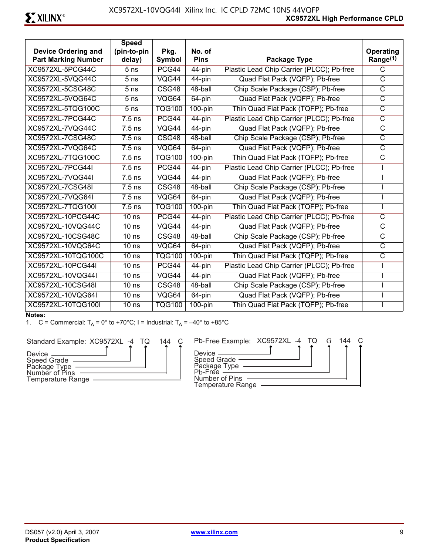|                                                          | <b>Speed</b>          |                |                       |                                           |                                   |
|----------------------------------------------------------|-----------------------|----------------|-----------------------|-------------------------------------------|-----------------------------------|
| <b>Device Ordering and</b><br><b>Part Marking Number</b> | (pin-to-pin<br>delay) | Pkg.<br>Symbol | No. of<br><b>Pins</b> | Package Type                              | Operating<br>Range <sup>(1)</sup> |
| XC9572XL-5PCG44C                                         | $\overline{5}$ ns     | PCG44          | 44-pin                | Plastic Lead Chip Carrier (PLCC); Pb-free | $\overline{\text{c}}$             |
| XC9572XL-5VQG44C                                         | 5 <sub>ns</sub>       | VQG44          | 44-pin                | Quad Flat Pack (VQFP); Pb-free            | $\overline{C}$                    |
| <b>XC9572XL-5CSG48C</b>                                  | 5 <sub>ns</sub>       | CSG48          | 48-ball               | Chip Scale Package (CSP); Pb-free         | $\overline{\mathsf{C}}$           |
| XC9572XL-5VQG64C                                         | 5 <sub>ns</sub>       | VQG64          | 64-pin                | Quad Flat Pack (VQFP); Pb-free            | $\overline{C}$                    |
| XC9572XL-5TQG100C                                        | 5 <sub>ns</sub>       | <b>TQG100</b>  | $100$ -pin            | Thin Quad Flat Pack (TQFP); Pb-free       | $\overline{\text{c}}$             |
| XC9572XL-7PCG44C                                         | $7.5$ ns              | PCG44          | 44-pin                | Plastic Lead Chip Carrier (PLCC); Pb-free | $\overline{\text{c}}$             |
| XC9572XL-7VQG44C                                         | $7.5$ ns              | VQG44          | 44-pin                | Quad Flat Pack (VQFP); Pb-free            | $\overline{C}$                    |
| XC9572XL-7CSG48C                                         | $7.5$ ns              | CSG48          | 48-ball               | Chip Scale Package (CSP); Pb-free         | $\overline{C}$                    |
| XC9572XL-7VQG64C                                         | $7.5$ ns              | VQG64          | $64$ -pin             | Quad Flat Pack (VQFP); Pb-free            | $\overline{C}$                    |
| XC9572XL-7TQG100C                                        | $7.5$ ns              | <b>TQG100</b>  | $100$ -pin            | Thin Quad Flat Pack (TQFP); Pb-free       | $\overline{\text{C}}$             |
| <b>XC9572XL-7PCG44I</b>                                  | $7.5$ ns              | PCG44          | $44$ -pin             | Plastic Lead Chip Carrier (PLCC); Pb-free |                                   |
| <b>XC9572XL-7VQG44I</b>                                  | $7.5$ ns              | VQG44          | 44-pin                | Quad Flat Pack (VQFP); Pb-free            |                                   |
| <b>XC9572XL-7CSG48I</b>                                  | $7.5$ ns              | CSG48          | 48-ball               | Chip Scale Package (CSP); Pb-free         |                                   |
| XC9572XL-7VQG64I                                         | $7.5$ ns              | VQG64          | 64-pin                | Quad Flat Pack (VQFP); Pb-free            |                                   |
| XC9572XL-7TQG100I                                        | $7.5$ ns              | <b>TQG100</b>  | $100$ -pin            | Thin Quad Flat Pack (TQFP); Pb-free       |                                   |
| <b>XC9572XL-10PCG44C</b>                                 | 10 <sub>ns</sub>      | PCG44          | $44$ -pin             | Plastic Lead Chip Carrier (PLCC); Pb-free | $\overline{\text{c}}$             |
| XC9572XL-10VQG44C                                        | 10 <sub>ns</sub>      | VQG44          |                       | Quad Flat Pack (VQFP); Pb-free            | $\overline{C}$                    |
|                                                          |                       |                | 44-pin                |                                           |                                   |
| <b>XC9572XL-10CSG48C</b>                                 | 10 <sub>ns</sub>      | CSG48          | 48-ball               | Chip Scale Package (CSP); Pb-free         | $\overline{\mathsf{C}}$           |
| XC9572XL-10VQG64C                                        | 10 <sub>ns</sub>      | VQG64          | 64-pin                | Quad Flat Pack (VQFP); Pb-free            | $\overline{\text{C}}$             |
| XC9572XL-10TQG100C                                       | 10 <sub>ns</sub>      | <b>TQG100</b>  | $100$ -pin            | Thin Quad Flat Pack (TQFP); Pb-free       | $\overline{C}$                    |
| <b>XC9572XL-10PCG44I</b>                                 | 10 <sub>ns</sub>      | PCG44          | $44$ -pin             | Plastic Lead Chip Carrier (PLCC); Pb-free |                                   |
| XC9572XL-10VQG44I                                        | 10 <sub>ns</sub>      | VQG44          | 44-pin                | Quad Flat Pack (VQFP); Pb-free            |                                   |
| XC9572XL-10CSG48I                                        | $10$ ns               | CSG48          | 48-ball               | Chip Scale Package (CSP); Pb-free         |                                   |
| XC9572XL-10VQG64I                                        | 10 <sub>ns</sub>      | VQG64          | 64-pin                | Quad Flat Pack (VQFP); Pb-free            |                                   |
| XC9572XL-10TQG100I                                       | 10 <sub>ns</sub>      | <b>TQG100</b>  | $100$ -pin            | Thin Quad Flat Pack (TQFP); Pb-free       |                                   |

### **Notes:**

1. C = Commercial:  $T_A = 0^\circ$  to +70°C; I = Industrial:  $T_A = -40^\circ$  to +85°C

Standard Example: XC9572XL -4 TQ



|  | 144 | Pb-Free Example: XC9572XL -4 TQ G                             |  |  | 144 |  |
|--|-----|---------------------------------------------------------------|--|--|-----|--|
|  |     | Device —<br>Speed Grade —<br>Package Type ——<br>Pb-Free ————— |  |  |     |  |
|  |     | Number of Pins<br><b>Temperature Range</b>                    |  |  |     |  |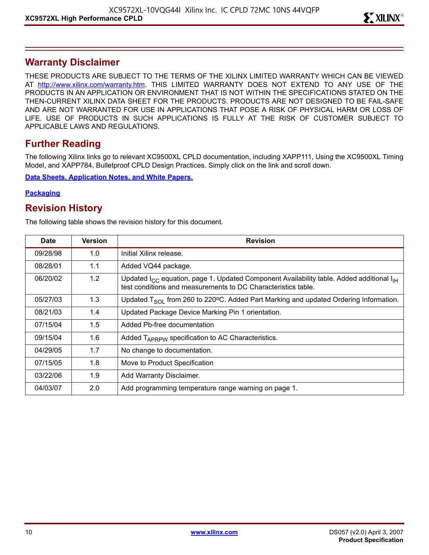# **Warranty Disclaimer**

THESE PRODUCTS ARE SUBJECT TO THE TERMS OF THE XILINX LIMITED WARRANTY WHICH CAN BE VIEWED AT [http://www.xilinx.com/warranty.htm.](http://www.xilinx.com/warranty.htm) THIS LIMITED WARRANTY DOES NOT EXTEND TO ANY USE OF THE PRODUCTS IN AN APPLICATION OR ENVIRONMENT THAT IS NOT WITHIN THE SPECIFICATIONS STATED ON THE THEN-CURRENT XILINX DATA SHEET FOR THE PRODUCTS. PRODUCTS ARE NOT DESIGNED TO BE FAIL-SAFE AND ARE NOT WARRANTED FOR USE IN APPLICATIONS THAT POSE A RISK OF PHYSICAL HARM OR LOSS OF LIFE. USE OF PRODUCTS IN SUCH APPLICATIONS IS FULLY AT THE RISK OF CUSTOMER SUBJECT TO APPLICABLE LAWS AND REGULATIONS.

# **Further Reading**

The following Xilinx links go to relevant XC9500XL CPLD documentation, including XAPP111, Using the XC9500XL Timing Model, and XAPP784, Bulletproof CPLD Design Practices. Simply click on the link and scroll down.

**[Data Sheets, Application Notes, and White Papers.](http://www.xilinx.com/xlnx/xweb/xil_publications_display.jsp?sGlobalNavPick=&sSecondaryNavPick=&category=-19216&iLanguageID=1)**

### **[Packaging](http://www.xilinx.com/xlnx/xweb/xil_publications_index.jsp?sGlobalNavPick=&sSecondaryNavPick=&category=-19166&iLanguageID=1)**

## **Revision History**

The following table shows the revision history for this document.

| <b>Date</b> | <b>Version</b> | <b>Revision</b>                                                                                                                                                    |
|-------------|----------------|--------------------------------------------------------------------------------------------------------------------------------------------------------------------|
| 09/28/98    | 1.0            | Initial Xilinx release.                                                                                                                                            |
| 08/28/01    | 1.1            | Added VQ44 package.                                                                                                                                                |
| 06/20/02    | 1.2            | Updated $I_{CC}$ equation, page 1. Updated Component Availability table. Added additional $I_{H}$<br>test conditions and measurements to DC Characteristics table. |
| 05/27/03    | 1.3            | Updated $T_{SO1}$ from 260 to 220°C. Added Part Marking and updated Ordering Information.                                                                          |
| 08/21/03    | 1.4            | Updated Package Device Marking Pin 1 orientation.                                                                                                                  |
| 07/15/04    | 1.5            | Added Pb-free documentation                                                                                                                                        |
| 09/15/04    | 1.6            | Added $T_{APRPW}$ specification to AC Characteristics.                                                                                                             |
| 04/29/05    | 1.7            | No change to documentation.                                                                                                                                        |
| 07/15/05    | 1.8            | Move to Product Specification                                                                                                                                      |
| 03/22/06    | 1.9            | Add Warranty Disclaimer.                                                                                                                                           |
| 04/03/07    | 2.0            | Add programming temperature range warning on page 1.                                                                                                               |